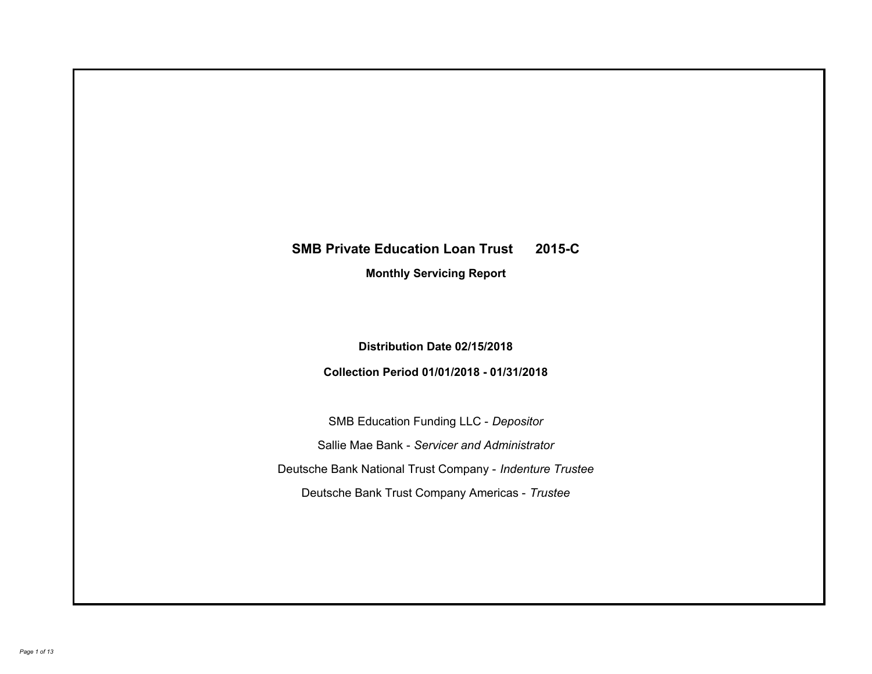# **SMB Private Education Loan Trust 2015-C Monthly Servicing Report**

**Distribution Date 02/15/2018 Collection Period 01/01/2018 - 01/31/2018**

SMB Education Funding LLC - *Depositor* Sallie Mae Bank - *Servicer and Administrator* Deutsche Bank National Trust Company - *Indenture Trustee* Deutsche Bank Trust Company Americas - *Trustee*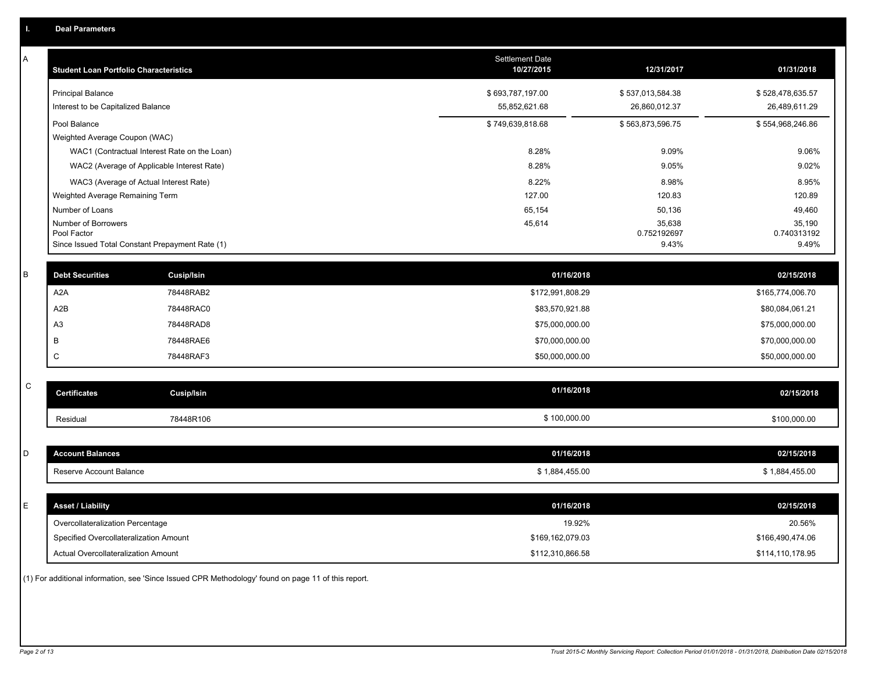A

| <b>Student Loan Portfolio Characteristics</b>                                         | <b>Settlement Date</b><br>10/27/2015 | 12/31/2017                        | 01/31/2018                        |
|---------------------------------------------------------------------------------------|--------------------------------------|-----------------------------------|-----------------------------------|
| <b>Principal Balance</b><br>Interest to be Capitalized Balance                        | \$693,787,197.00<br>55,852,621.68    | \$537,013,584.38<br>26,860,012.37 | \$528,478,635.57<br>26,489,611.29 |
| Pool Balance                                                                          | \$749,639,818.68                     | \$563,873,596.75                  | \$554,968,246.86                  |
| Weighted Average Coupon (WAC)                                                         |                                      |                                   |                                   |
| WAC1 (Contractual Interest Rate on the Loan)                                          | 8.28%                                | 9.09%                             | 9.06%                             |
| WAC2 (Average of Applicable Interest Rate)                                            | 8.28%                                | 9.05%                             | 9.02%                             |
| WAC3 (Average of Actual Interest Rate)                                                | 8.22%                                | 8.98%                             | 8.95%                             |
| Weighted Average Remaining Term                                                       | 127.00                               | 120.83                            | 120.89                            |
| Number of Loans                                                                       | 65,154                               | 50,136                            | 49,460                            |
| Number of Borrowers<br>Pool Factor<br>Since Issued Total Constant Prepayment Rate (1) | 45,614                               | 35,638<br>0.752192697<br>9.43%    | 35,190<br>0.740313192<br>9.49%    |

| <b>Debt Securities</b> | Cusip/Isin | 01/16/2018       | 02/15/2018       |
|------------------------|------------|------------------|------------------|
| A2A                    | 78448RAB2  | \$172,991,808.29 | \$165,774,006.70 |
| A2B                    | 78448RAC0  | \$83,570,921.88  | \$80,084,061.21  |
| A <sub>3</sub>         | 78448RAD8  | \$75,000,000.00  | \$75,000,000.00  |
|                        | 78448RAE6  | \$70,000,000.00  | \$70,000,000.00  |
| ◡                      | 78448RAF3  | \$50,000,000.00  | \$50,000,000.00  |
|                        |            |                  |                  |

| - | <b>Certificates</b> | Cusip/Isin | 01/16/2018   | 02/15/2018   |
|---|---------------------|------------|--------------|--------------|
|   | Residual            | 78448R106  | \$100,000.00 | \$100,000.00 |

| count Balances          | 01/16/2018       | 02/15/2018  |
|-------------------------|------------------|-------------|
| Reserve Account Balance | 1.884<br>,455.00 | ,884,455.00 |

| <b>Asset / Liability</b>               | 01/16/2018       | 02/15/2018       |
|----------------------------------------|------------------|------------------|
| Overcollateralization Percentage       | 19.92%           | 20.56%           |
| Specified Overcollateralization Amount | \$169.162.079.03 | \$166,490,474.06 |
| Actual Overcollateralization Amount    | \$112,310,866.58 | \$114,110,178.95 |

(1) For additional information, see 'Since Issued CPR Methodology' found on page 11 of this report.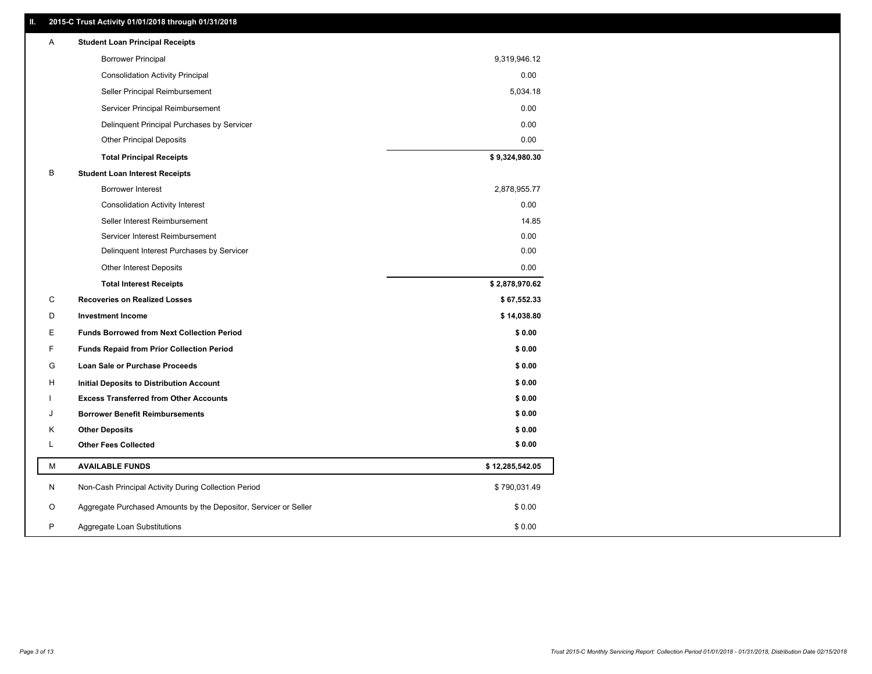# **II. 2015-C Trust Activity 01/01/2018 through 01/31/2018**

| Α | <b>Student Loan Principal Receipts</b>                           |                 |
|---|------------------------------------------------------------------|-----------------|
|   | <b>Borrower Principal</b>                                        | 9,319,946.12    |
|   | <b>Consolidation Activity Principal</b>                          | 0.00            |
|   | Seller Principal Reimbursement                                   | 5,034.18        |
|   | Servicer Principal Reimbursement                                 | 0.00            |
|   | Delinquent Principal Purchases by Servicer                       | 0.00            |
|   | <b>Other Principal Deposits</b>                                  | 0.00            |
|   | <b>Total Principal Receipts</b>                                  | \$9,324,980.30  |
| B | <b>Student Loan Interest Receipts</b>                            |                 |
|   | Borrower Interest                                                | 2,878,955.77    |
|   | <b>Consolidation Activity Interest</b>                           | 0.00            |
|   | Seller Interest Reimbursement                                    | 14.85           |
|   | Servicer Interest Reimbursement                                  | 0.00            |
|   | Delinquent Interest Purchases by Servicer                        | 0.00            |
|   | <b>Other Interest Deposits</b>                                   | 0.00            |
|   | <b>Total Interest Receipts</b>                                   | \$2,878,970.62  |
| С | <b>Recoveries on Realized Losses</b>                             | \$67,552.33     |
| D | <b>Investment Income</b>                                         | \$14,038.80     |
| E | <b>Funds Borrowed from Next Collection Period</b>                | \$0.00          |
| F | <b>Funds Repaid from Prior Collection Period</b>                 | \$0.00          |
| G | Loan Sale or Purchase Proceeds                                   | \$0.00          |
| н | Initial Deposits to Distribution Account                         | \$0.00          |
|   | <b>Excess Transferred from Other Accounts</b>                    | \$0.00          |
| J | <b>Borrower Benefit Reimbursements</b>                           | \$0.00          |
| κ | <b>Other Deposits</b>                                            | \$0.00          |
| Г | <b>Other Fees Collected</b>                                      | \$0.00          |
| М | <b>AVAILABLE FUNDS</b>                                           | \$12,285,542.05 |
| N | Non-Cash Principal Activity During Collection Period             | \$790,031.49    |
| O | Aggregate Purchased Amounts by the Depositor, Servicer or Seller | \$0.00          |
| P | Aggregate Loan Substitutions                                     | \$0.00          |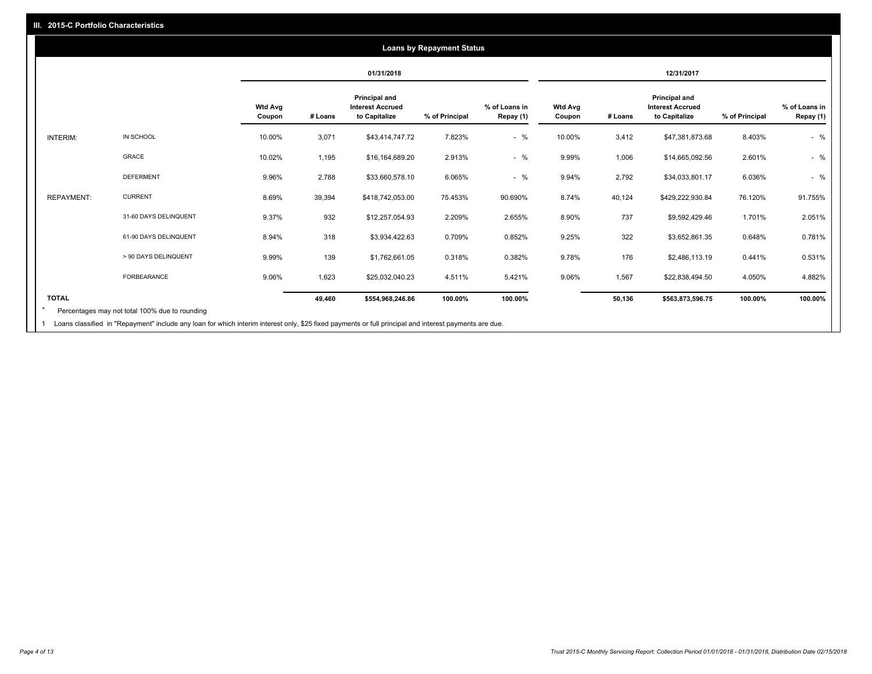|                   |                       |                          |         | 01/31/2018                                                       |                |                            |                          |         | 12/31/2017                                                |                |                            |
|-------------------|-----------------------|--------------------------|---------|------------------------------------------------------------------|----------------|----------------------------|--------------------------|---------|-----------------------------------------------------------|----------------|----------------------------|
|                   |                       | <b>Wtd Avg</b><br>Coupon | # Loans | <b>Principal and</b><br><b>Interest Accrued</b><br>to Capitalize | % of Principal | % of Loans in<br>Repay (1) | <b>Wtd Avg</b><br>Coupon | # Loans | Principal and<br><b>Interest Accrued</b><br>to Capitalize | % of Principal | % of Loans in<br>Repay (1) |
| <b>INTERIM:</b>   | IN SCHOOL             | 10.00%                   | 3,071   | \$43,414,747.72                                                  | 7.823%         | $-$ %                      | 10.00%                   | 3,412   | \$47,381,873.68                                           | 8.403%         | $-$ %                      |
|                   | <b>GRACE</b>          | 10.02%                   | 1,195   | \$16,164,689.20                                                  | 2.913%         | $-$ %                      | 9.99%                    | 1,006   | \$14,665,092.56                                           | 2.601%         | $-$ %                      |
|                   | <b>DEFERMENT</b>      | 9.96%                    | 2,788   | \$33,660,578.10                                                  | 6.065%         | $-$ %                      | 9.94%                    | 2,792   | \$34,033,801.17                                           | 6.036%         | $-$ %                      |
| <b>REPAYMENT:</b> | <b>CURRENT</b>        | 8.69%                    | 39,394  | \$418,742,053.00                                                 | 75.453%        | 90.690%                    | 8.74%                    | 40,124  | \$429,222,930.84                                          | 76.120%        | 91.755%                    |
|                   | 31-60 DAYS DELINQUENT | 9.37%                    | 932     | \$12,257,054.93                                                  | 2.209%         | 2.655%                     | 8.90%                    | 737     | \$9,592,429.46                                            | 1.701%         | 2.051%                     |
|                   | 61-90 DAYS DELINQUENT | 8.94%                    | 318     | \$3,934,422.63                                                   | 0.709%         | 0.852%                     | 9.25%                    | 322     | \$3,652,861.35                                            | 0.648%         | 0.781%                     |
|                   | > 90 DAYS DELINQUENT  | 9.99%                    | 139     | \$1,762,661.05                                                   | 0.318%         | 0.382%                     | 9.78%                    | 176     | \$2,486,113.19                                            | 0.441%         | 0.531%                     |
|                   | FORBEARANCE           | 9.06%                    | 1,623   | \$25,032,040.23                                                  | 4.511%         | 5.421%                     | 9.06%                    | 1,567   | \$22,838,494.50                                           | 4.050%         | 4.882%                     |
| <b>TOTAL</b>      |                       |                          | 49,460  | \$554,968,246.86                                                 | 100.00%        | 100.00%                    |                          | 50,136  | \$563,873,596.75                                          | 100.00%        | 100.00%                    |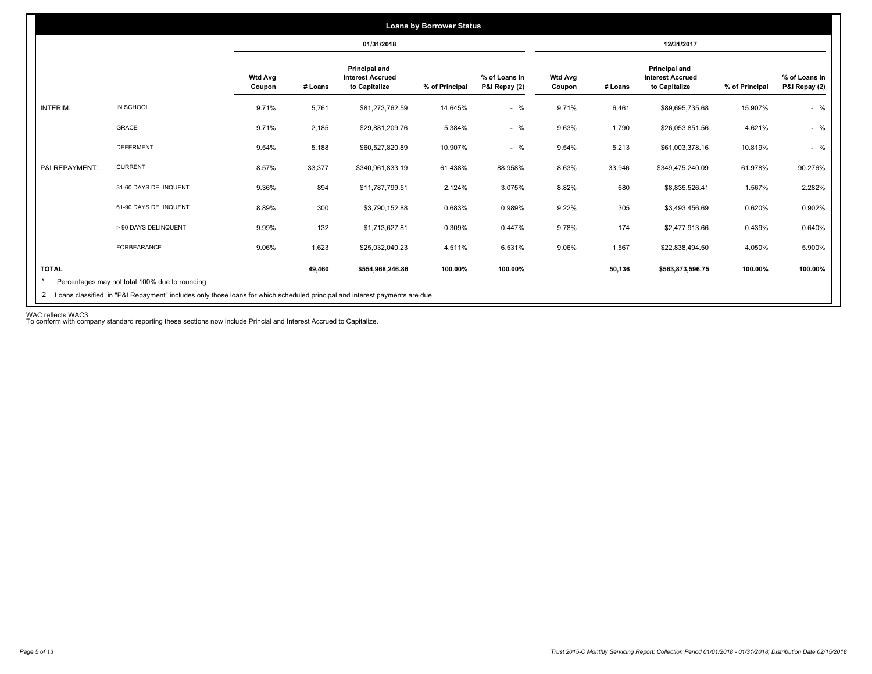|                 |                                                |                          |         |                                                           | <b>Loans by Borrower Status</b> |                                |                          |         |                                                                  |                |                                |
|-----------------|------------------------------------------------|--------------------------|---------|-----------------------------------------------------------|---------------------------------|--------------------------------|--------------------------|---------|------------------------------------------------------------------|----------------|--------------------------------|
|                 |                                                |                          |         | 01/31/2018                                                |                                 |                                |                          |         | 12/31/2017                                                       |                |                                |
|                 |                                                | <b>Wtd Avg</b><br>Coupon | # Loans | Principal and<br><b>Interest Accrued</b><br>to Capitalize | % of Principal                  | % of Loans in<br>P&I Repay (2) | <b>Wtd Avg</b><br>Coupon | # Loans | <b>Principal and</b><br><b>Interest Accrued</b><br>to Capitalize | % of Principal | % of Loans in<br>P&I Repay (2) |
| <b>INTERIM:</b> | IN SCHOOL                                      | 9.71%                    | 5,761   | \$81,273,762.59                                           | 14.645%                         | $-$ %                          | 9.71%                    | 6,461   | \$89,695,735.68                                                  | 15.907%        | $-$ %                          |
|                 | GRACE                                          | 9.71%                    | 2,185   | \$29,881,209.76                                           | 5.384%                          | $-$ %                          | 9.63%                    | 1,790   | \$26,053,851.56                                                  | 4.621%         | $-$ %                          |
|                 | <b>DEFERMENT</b>                               | 9.54%                    | 5,188   | \$60,527,820.89                                           | 10.907%                         | $-$ %                          | 9.54%                    | 5,213   | \$61,003,378.16                                                  | 10.819%        | $-$ %                          |
| P&I REPAYMENT:  | <b>CURRENT</b>                                 | 8.57%                    | 33,377  | \$340,961,833.19                                          | 61.438%                         | 88.958%                        | 8.63%                    | 33,946  | \$349,475,240.09                                                 | 61.978%        | 90.276%                        |
|                 | 31-60 DAYS DELINQUENT                          | 9.36%                    | 894     | \$11,787,799.51                                           | 2.124%                          | 3.075%                         | 8.82%                    | 680     | \$8,835,526.41                                                   | 1.567%         | 2.282%                         |
|                 | 61-90 DAYS DELINQUENT                          | 8.89%                    | 300     | \$3,790,152.88                                            | 0.683%                          | 0.989%                         | 9.22%                    | 305     | \$3,493,456.69                                                   | 0.620%         | 0.902%                         |
|                 | > 90 DAYS DELINQUENT                           | 9.99%                    | 132     | \$1,713,627.81                                            | 0.309%                          | 0.447%                         | 9.78%                    | 174     | \$2,477,913.66                                                   | 0.439%         | 0.640%                         |
|                 | FORBEARANCE                                    | 9.06%                    | 1,623   | \$25,032,040.23                                           | 4.511%                          | 6.531%                         | 9.06%                    | 1,567   | \$22,838,494.50                                                  | 4.050%         | 5.900%                         |
| <b>TOTAL</b>    | Percentages may not total 100% due to rounding |                          | 49,460  | \$554,968,246.86                                          | 100.00%                         | 100.00%                        |                          | 50,136  | \$563,873,596.75                                                 | 100.00%        | 100.00%                        |

WAC reflects WAC3 To conform with company standard reporting these sections now include Princial and Interest Accrued to Capitalize.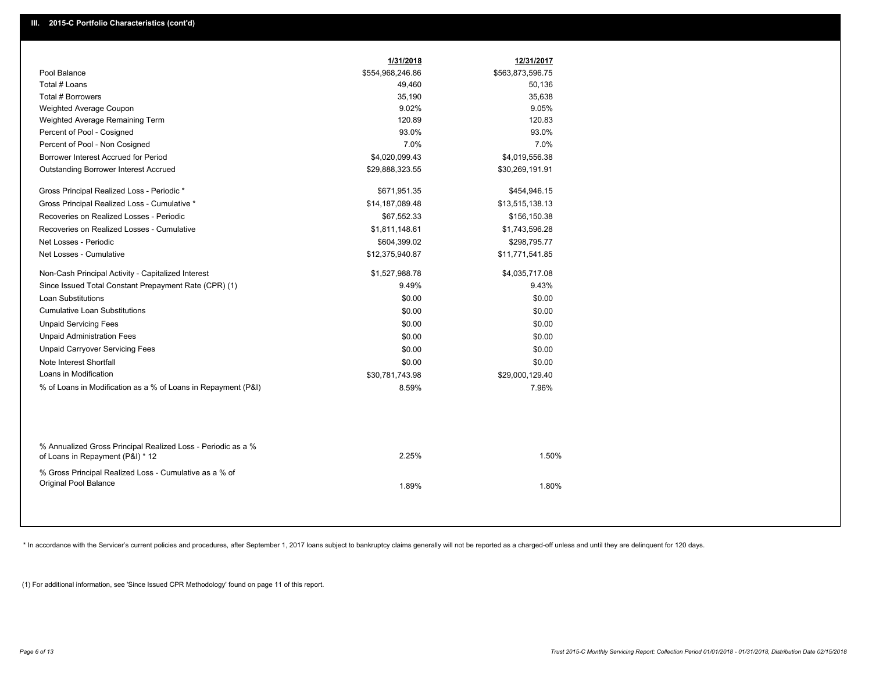|                                                                                                  | 1/31/2018        | 12/31/2017       |  |
|--------------------------------------------------------------------------------------------------|------------------|------------------|--|
| Pool Balance                                                                                     | \$554,968,246.86 | \$563,873,596.75 |  |
| Total # Loans                                                                                    | 49,460           | 50,136           |  |
| Total # Borrowers                                                                                | 35,190           | 35,638           |  |
| Weighted Average Coupon                                                                          | 9.02%            | 9.05%            |  |
| Weighted Average Remaining Term                                                                  | 120.89           | 120.83           |  |
| Percent of Pool - Cosigned                                                                       | 93.0%            | 93.0%            |  |
| Percent of Pool - Non Cosigned                                                                   | 7.0%             | 7.0%             |  |
| Borrower Interest Accrued for Period                                                             | \$4,020,099.43   | \$4,019,556.38   |  |
| Outstanding Borrower Interest Accrued                                                            | \$29,888,323.55  | \$30,269,191.91  |  |
| Gross Principal Realized Loss - Periodic *                                                       | \$671,951.35     | \$454,946.15     |  |
| Gross Principal Realized Loss - Cumulative *                                                     | \$14,187,089.48  | \$13,515,138.13  |  |
| Recoveries on Realized Losses - Periodic                                                         | \$67,552.33      | \$156,150.38     |  |
| Recoveries on Realized Losses - Cumulative                                                       | \$1,811,148.61   | \$1,743,596.28   |  |
| Net Losses - Periodic                                                                            | \$604,399.02     | \$298,795.77     |  |
| Net Losses - Cumulative                                                                          | \$12,375,940.87  | \$11,771,541.85  |  |
| Non-Cash Principal Activity - Capitalized Interest                                               | \$1,527,988.78   | \$4,035,717.08   |  |
| Since Issued Total Constant Prepayment Rate (CPR) (1)                                            | 9.49%            | 9.43%            |  |
| Loan Substitutions                                                                               | \$0.00           | \$0.00           |  |
| <b>Cumulative Loan Substitutions</b>                                                             | \$0.00           | \$0.00           |  |
| <b>Unpaid Servicing Fees</b>                                                                     | \$0.00           | \$0.00           |  |
| <b>Unpaid Administration Fees</b>                                                                | \$0.00           | \$0.00           |  |
| <b>Unpaid Carryover Servicing Fees</b>                                                           | \$0.00           | \$0.00           |  |
| Note Interest Shortfall                                                                          | \$0.00           | \$0.00           |  |
| Loans in Modification                                                                            | \$30,781,743.98  | \$29,000,129.40  |  |
| % of Loans in Modification as a % of Loans in Repayment (P&I)                                    | 8.59%            | 7.96%            |  |
|                                                                                                  |                  |                  |  |
| % Annualized Gross Principal Realized Loss - Periodic as a %<br>of Loans in Repayment (P&I) * 12 | 2.25%            | 1.50%            |  |
| % Gross Principal Realized Loss - Cumulative as a % of<br>Original Pool Balance                  | 1.89%            | 1.80%            |  |

\* In accordance with the Servicer's current policies and procedures, after September 1, 2017 loans subject to bankruptcy claims generally will not be reported as a charged-off unless and until they are delinquent for 120 d

(1) For additional information, see 'Since Issued CPR Methodology' found on page 11 of this report.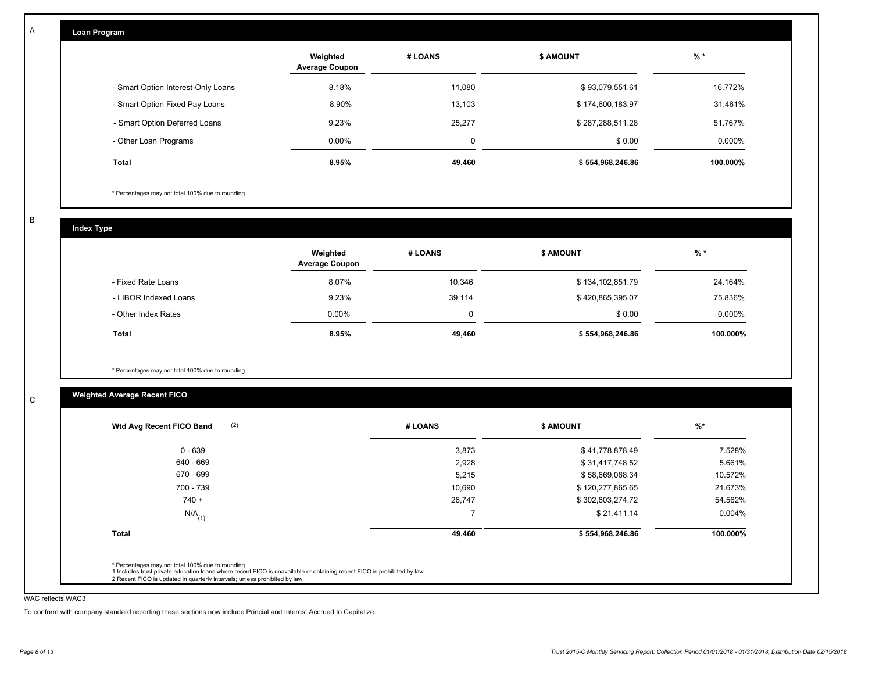| <b>Loan Program</b> |  |
|---------------------|--|
|                     |  |

|                                    | Weighted<br><b>Average Coupon</b> | # LOANS     | <b>S AMOUNT</b>  | $%$ *    |
|------------------------------------|-----------------------------------|-------------|------------------|----------|
| - Smart Option Interest-Only Loans | 8.18%                             | 11.080      | \$93,079,551.61  | 16.772%  |
| - Smart Option Fixed Pay Loans     | 8.90%                             | 13.103      | \$174,600,183.97 | 31.461%  |
| - Smart Option Deferred Loans      | 9.23%                             | 25.277      | \$287,288,511.28 | 51.767%  |
| - Other Loan Programs              | $0.00\%$                          | $\mathbf 0$ | \$0.00           | 0.000%   |
| <b>Total</b>                       | 8.95%                             | 49.460      | \$554,968,246.86 | 100.000% |

\* Percentages may not total 100% due to rounding

B

C

A

| <b>Index Type</b>     |                                   |          |                  |          |
|-----------------------|-----------------------------------|----------|------------------|----------|
|                       | Weighted<br><b>Average Coupon</b> | # LOANS  | <b>\$ AMOUNT</b> | $%$ *    |
| - Fixed Rate Loans    | 8.07%                             | 10,346   | \$134,102,851.79 | 24.164%  |
| - LIBOR Indexed Loans | 9.23%                             | 39,114   | \$420,865,395.07 | 75.836%  |
| - Other Index Rates   | $0.00\%$                          | $\Omega$ | \$0.00           | 0.000%   |
| <b>Total</b>          | 8.95%                             | 49,460   | \$554,968,246.86 | 100.000% |

\* Percentages may not total 100% due to rounding

# **Weighted Average Recent FICO**

| 0 - 639              | 3,873  | \$41,778,878.49  | 7.528%   |
|----------------------|--------|------------------|----------|
| 640 - 669            | 2,928  | \$31,417,748.52  | 5.661%   |
| 670 - 699            | 5,215  | \$58,669,068.34  | 10.572%  |
| 700 - 739            | 10,690 | \$120,277,865.65 | 21.673%  |
| $740 +$              | 26,747 | \$302,803,274.72 | 54.562%  |
| $N/A$ <sub>(1)</sub> |        | \$21,411.14      | 0.004%   |
| <b>Total</b>         | 49,460 | \$554,968,246.86 | 100.000% |

WAC reflects WAC3

To conform with company standard reporting these sections now include Princial and Interest Accrued to Capitalize.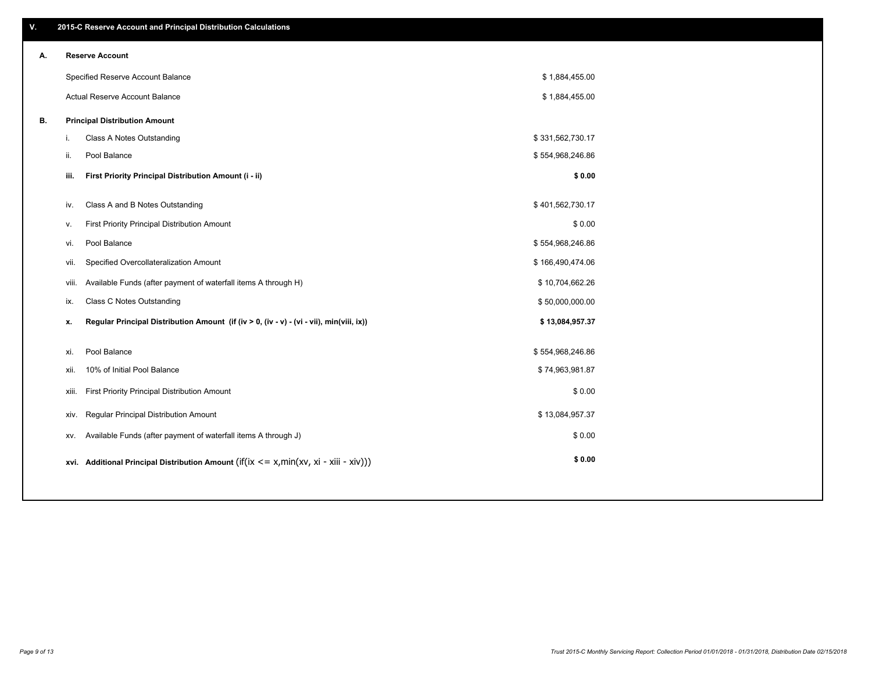| ۷. |             | 2015-C Reserve Account and Principal Distribution Calculations                           |                  |  |
|----|-------------|------------------------------------------------------------------------------------------|------------------|--|
| А. |             | <b>Reserve Account</b>                                                                   |                  |  |
|    |             | Specified Reserve Account Balance                                                        | \$1,884,455.00   |  |
|    |             | Actual Reserve Account Balance                                                           | \$1,884,455.00   |  |
| В. |             | <b>Principal Distribution Amount</b>                                                     |                  |  |
|    | i.          | Class A Notes Outstanding                                                                | \$331,562,730.17 |  |
|    | ii.         | Pool Balance                                                                             | \$554,968,246.86 |  |
|    | iii.        | First Priority Principal Distribution Amount (i - ii)                                    | \$0.00           |  |
|    | iv.         | Class A and B Notes Outstanding                                                          | \$401,562,730.17 |  |
|    |             | First Priority Principal Distribution Amount                                             | \$0.00           |  |
|    | ۷.          | Pool Balance                                                                             | \$554,968,246.86 |  |
|    | vi.<br>vii. | Specified Overcollateralization Amount                                                   | \$166,490,474.06 |  |
|    |             | Available Funds (after payment of waterfall items A through H)                           | \$10,704,662.26  |  |
|    | viii.       | Class C Notes Outstanding                                                                | \$50,000,000.00  |  |
|    | ix.         |                                                                                          |                  |  |
|    | х.          | Regular Principal Distribution Amount (if (iv > 0, (iv - v) - (vi - vii), min(viii, ix)) | \$13,084,957.37  |  |
|    | xi.         | Pool Balance                                                                             | \$554,968,246.86 |  |
|    | xii.        | 10% of Initial Pool Balance                                                              | \$74,963,981.87  |  |
|    | xiii.       | First Priority Principal Distribution Amount                                             | \$0.00           |  |
|    |             | <b>Regular Principal Distribution Amount</b><br>xiv.                                     | \$13,084,957.37  |  |
|    | XV.         | Available Funds (after payment of waterfall items A through J)                           | \$0.00           |  |
|    |             | xvi. Additional Principal Distribution Amount (if(ix <= x,min(xv, xi - xiii - xiv)))     | \$0.00           |  |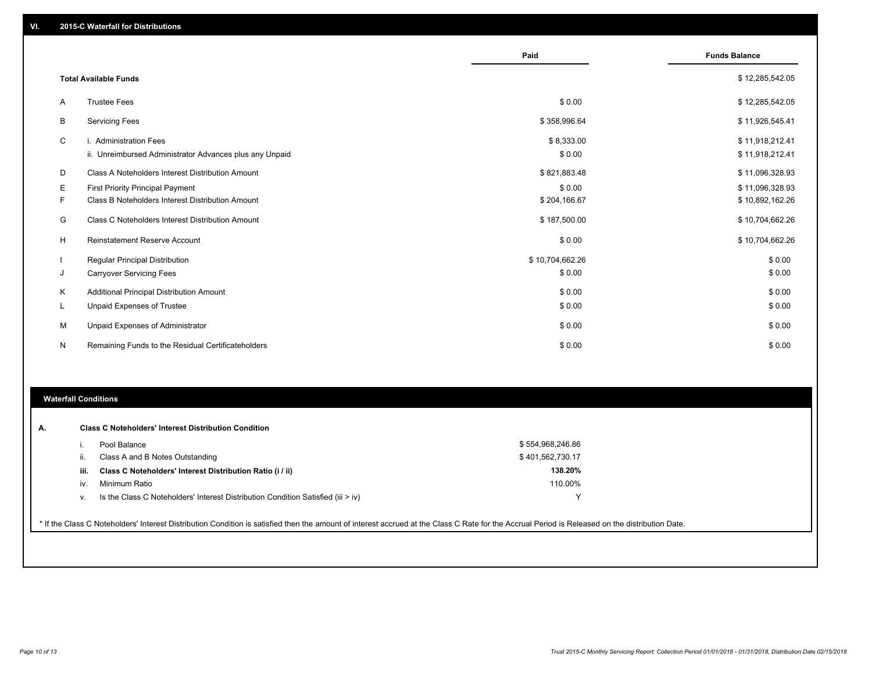|   |                                                         | Paid            | <b>Funds Balance</b> |
|---|---------------------------------------------------------|-----------------|----------------------|
|   | <b>Total Available Funds</b>                            |                 | \$12,285,542.05      |
| A | <b>Trustee Fees</b>                                     | \$0.00          | \$12,285,542.05      |
| B | <b>Servicing Fees</b>                                   | \$358,996.64    | \$11,926,545.41      |
| C | i. Administration Fees                                  | \$8,333.00      | \$11,918,212.41      |
|   | ii. Unreimbursed Administrator Advances plus any Unpaid | \$0.00          | \$11,918,212.41      |
| D | Class A Noteholders Interest Distribution Amount        | \$821,883.48    | \$11,096,328.93      |
| Е | <b>First Priority Principal Payment</b>                 | \$0.00          | \$11,096,328.93      |
| F | Class B Noteholders Interest Distribution Amount        | \$204,166.67    | \$10,892,162.26      |
| G | Class C Noteholders Interest Distribution Amount        | \$187,500.00    | \$10,704,662.26      |
| H | <b>Reinstatement Reserve Account</b>                    | \$0.00          | \$10,704,662.26      |
|   | Regular Principal Distribution                          | \$10,704,662.26 | \$0.00               |
| J | <b>Carryover Servicing Fees</b>                         | \$0.00          | \$0.00               |
| Κ | Additional Principal Distribution Amount                | \$0.00          | \$0.00               |
| L | Unpaid Expenses of Trustee                              | \$0.00          | \$0.00               |
| M | Unpaid Expenses of Administrator                        | \$0.00          | \$0.00               |
| N | Remaining Funds to the Residual Certificateholders      | \$0.00          | \$0.00               |

#### **Waterfall Conditions**

|      | Pool Balance                                                                       | \$554,968,246.86 |  |
|------|------------------------------------------------------------------------------------|------------------|--|
| Ш.   | Class A and B Notes Outstanding                                                    | \$401,562,730.17 |  |
| iii. | Class C Noteholders' Interest Distribution Ratio (i / ii)                          | 138.20%          |  |
| iv.  | Minimum Ratio                                                                      | 110.00%          |  |
| V.   | Is the Class C Noteholders' Interest Distribution Condition Satisfied (iii $>$ iv) |                  |  |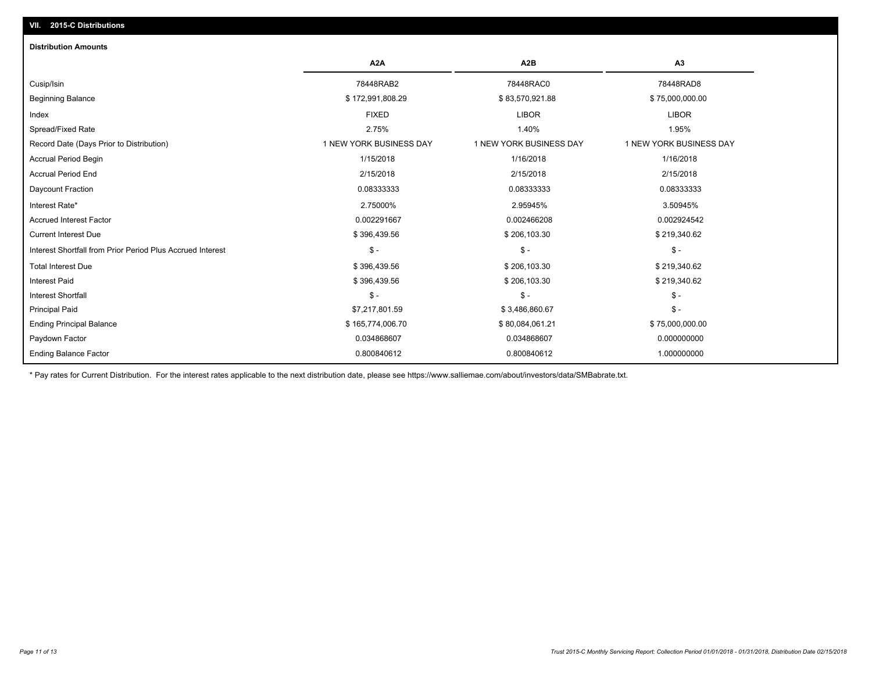| <b>Distribution Amounts</b>                                |                         |                         |                         |
|------------------------------------------------------------|-------------------------|-------------------------|-------------------------|
|                                                            | A <sub>2</sub> A        | A <sub>2</sub> B        | A <sub>3</sub>          |
| Cusip/Isin                                                 | 78448RAB2               | 78448RAC0               | 78448RAD8               |
| <b>Beginning Balance</b>                                   | \$172,991,808.29        | \$83,570,921.88         | \$75,000,000.00         |
| Index                                                      | <b>FIXED</b>            | <b>LIBOR</b>            | <b>LIBOR</b>            |
| Spread/Fixed Rate                                          | 2.75%                   | 1.40%                   | 1.95%                   |
| Record Date (Days Prior to Distribution)                   | 1 NEW YORK BUSINESS DAY | 1 NEW YORK BUSINESS DAY | 1 NEW YORK BUSINESS DAY |
| <b>Accrual Period Begin</b>                                | 1/15/2018               | 1/16/2018               | 1/16/2018               |
| <b>Accrual Period End</b>                                  | 2/15/2018               | 2/15/2018               | 2/15/2018               |
| Daycount Fraction                                          | 0.08333333              | 0.08333333              | 0.08333333              |
| Interest Rate*                                             | 2.75000%                | 2.95945%                | 3.50945%                |
| <b>Accrued Interest Factor</b>                             | 0.002291667             | 0.002466208             | 0.002924542             |
| <b>Current Interest Due</b>                                | \$396,439.56            | \$206,103.30            | \$219,340.62            |
| Interest Shortfall from Prior Period Plus Accrued Interest | $\mathsf{\$}$ -         | $\mathsf{\$}$ -         | $\mathsf{\$}$ -         |
| <b>Total Interest Due</b>                                  | \$396,439.56            | \$206,103.30            | \$219,340.62            |
| <b>Interest Paid</b>                                       | \$396,439.56            | \$206,103.30            | \$219,340.62            |
| <b>Interest Shortfall</b>                                  | $\mathsf{\$}$ -         | $S -$                   | $S -$                   |
| <b>Principal Paid</b>                                      | \$7,217,801.59          | \$3,486,860.67          | $\mathcal{S}$ -         |
| <b>Ending Principal Balance</b>                            | \$165,774,006.70        | \$80,084,061.21         | \$75,000,000.00         |
| Paydown Factor                                             | 0.034868607             | 0.034868607             | 0.000000000             |
| <b>Ending Balance Factor</b>                               | 0.800840612             | 0.800840612             | 1.000000000             |

\* Pay rates for Current Distribution. For the interest rates applicable to the next distribution date, please see https://www.salliemae.com/about/investors/data/SMBabrate.txt.

**VII. 2015-C Distributions**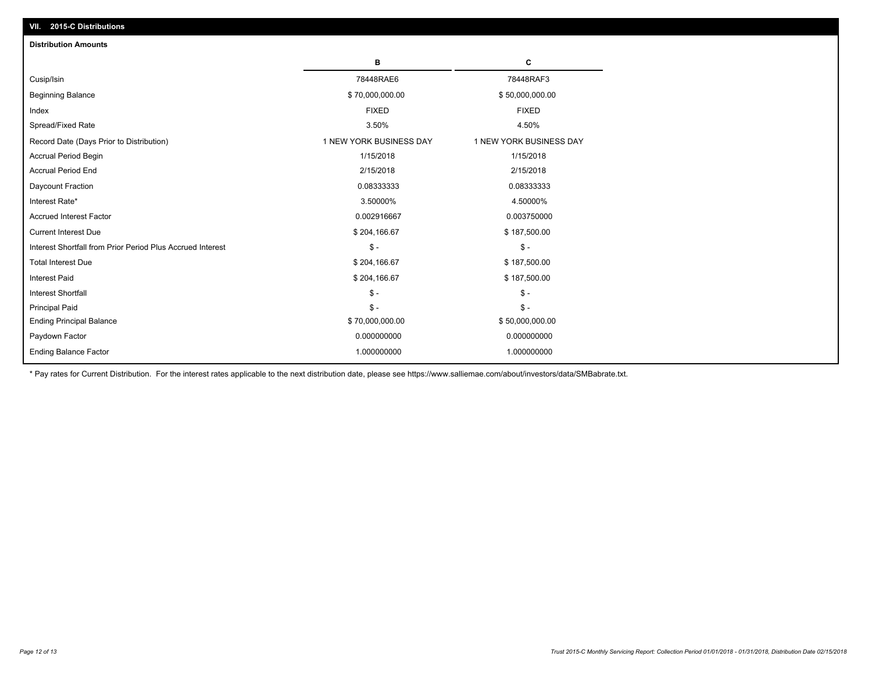| <b>EVILY &amp; PIOGRAPHIC</b>                              |                         |                         |
|------------------------------------------------------------|-------------------------|-------------------------|
| <b>Distribution Amounts</b>                                |                         |                         |
|                                                            | в                       | c                       |
| Cusip/Isin                                                 | 78448RAE6               | 78448RAF3               |
| Beginning Balance                                          | \$70,000,000.00         | \$50,000,000.00         |
| Index                                                      | <b>FIXED</b>            | <b>FIXED</b>            |
| Spread/Fixed Rate                                          | 3.50%                   | 4.50%                   |
| Record Date (Days Prior to Distribution)                   | 1 NEW YORK BUSINESS DAY | 1 NEW YORK BUSINESS DAY |
| Accrual Period Begin                                       | 1/15/2018               | 1/15/2018               |
| <b>Accrual Period End</b>                                  | 2/15/2018               | 2/15/2018               |
| Daycount Fraction                                          | 0.08333333              | 0.08333333              |
| Interest Rate*                                             | 3.50000%                | 4.50000%                |
| <b>Accrued Interest Factor</b>                             | 0.002916667             | 0.003750000             |
| <b>Current Interest Due</b>                                | \$204,166.67            | \$187,500.00            |
| Interest Shortfall from Prior Period Plus Accrued Interest | $\mathsf{\$}$ -         | $\mathsf{\$}$ -         |
| <b>Total Interest Due</b>                                  | \$204,166.67            | \$187,500.00            |
| <b>Interest Paid</b>                                       | \$204,166.67            | \$187,500.00            |
| <b>Interest Shortfall</b>                                  | $\mathsf{\$}$ -         | $\mathcal{S}$ -         |
| <b>Principal Paid</b>                                      | $\mathsf{\$}$ -         | $\mathsf{\$}$ -         |
| <b>Ending Principal Balance</b>                            | \$70,000,000.00         | \$50,000,000.00         |
| Paydown Factor                                             | 0.000000000             | 0.000000000             |
| <b>Ending Balance Factor</b>                               | 1.000000000             | 1.000000000             |
|                                                            |                         |                         |

\* Pay rates for Current Distribution. For the interest rates applicable to the next distribution date, please see https://www.salliemae.com/about/investors/data/SMBabrate.txt.

**VII. 2015-C Distributions**